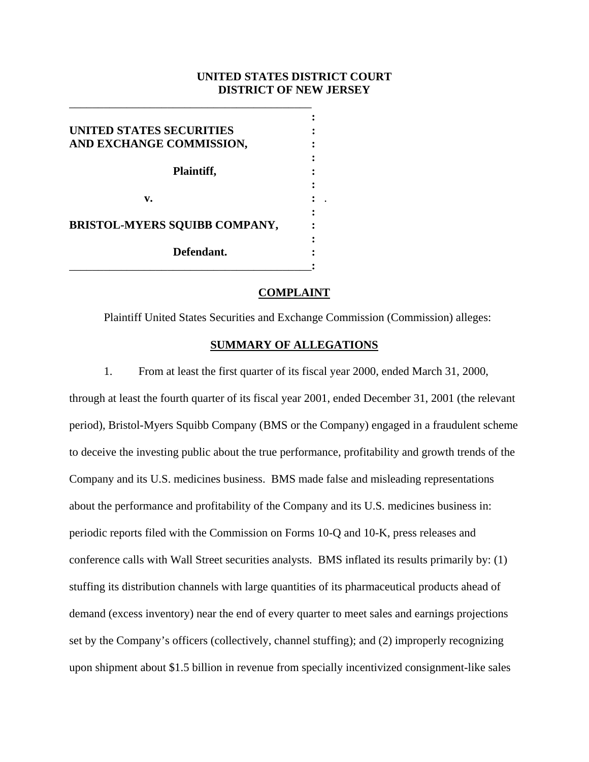# **UNITED STATES DISTRICT COURT DISTRICT OF NEW JERSEY**

| UNITED STATES SECURITIES             |  |
|--------------------------------------|--|
| AND EXCHANGE COMMISSION,             |  |
|                                      |  |
| Plaintiff,                           |  |
|                                      |  |
| v.                                   |  |
|                                      |  |
| <b>BRISTOL-MYERS SQUIBB COMPANY,</b> |  |
|                                      |  |
| Defendant.                           |  |
|                                      |  |

\_\_\_\_\_\_\_\_\_\_\_\_\_\_\_\_\_\_\_\_\_\_\_\_\_\_\_\_\_\_\_\_\_\_\_\_\_\_\_\_\_\_

### **COMPLAINT**

Plaintiff United States Securities and Exchange Commission (Commission) alleges:

## **SUMMARY OF ALLEGATIONS**

1. From at least the first quarter of its fiscal year 2000, ended March 31, 2000, through at least the fourth quarter of its fiscal year 2001, ended December 31, 2001 (the relevant period), Bristol-Myers Squibb Company (BMS or the Company) engaged in a fraudulent scheme to deceive the investing public about the true performance, profitability and growth trends of the Company and its U.S. medicines business. BMS made false and misleading representations about the performance and profitability of the Company and its U.S. medicines business in: periodic reports filed with the Commission on Forms 10-Q and 10-K, press releases and conference calls with Wall Street securities analysts. BMS inflated its results primarily by: (1) stuffing its distribution channels with large quantities of its pharmaceutical products ahead of demand (excess inventory) near the end of every quarter to meet sales and earnings projections set by the Company's officers (collectively, channel stuffing); and (2) improperly recognizing upon shipment about \$1.5 billion in revenue from specially incentivized consignment-like sales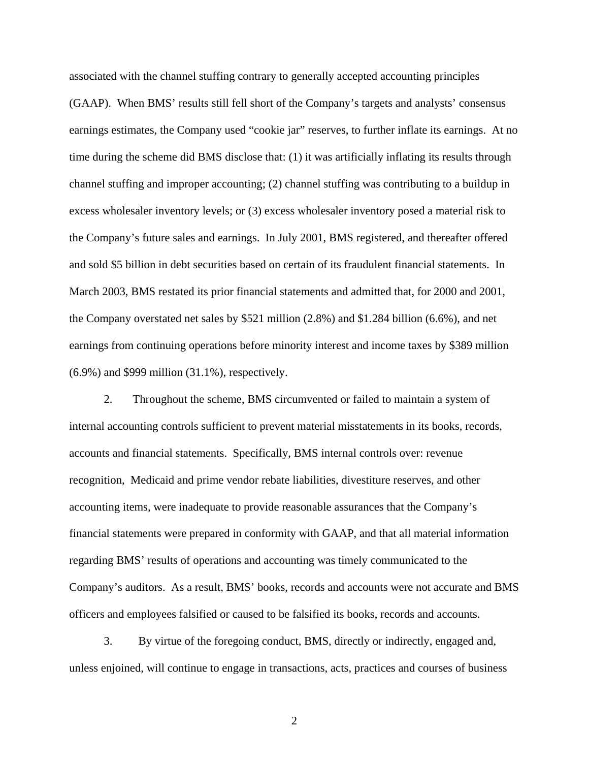associated with the channel stuffing contrary to generally accepted accounting principles (GAAP). When BMS' results still fell short of the Company's targets and analysts' consensus earnings estimates, the Company used "cookie jar" reserves, to further inflate its earnings. At no time during the scheme did BMS disclose that: (1) it was artificially inflating its results through channel stuffing and improper accounting; (2) channel stuffing was contributing to a buildup in excess wholesaler inventory levels; or (3) excess wholesaler inventory posed a material risk to the Company's future sales and earnings. In July 2001, BMS registered, and thereafter offered and sold \$5 billion in debt securities based on certain of its fraudulent financial statements. In March 2003, BMS restated its prior financial statements and admitted that, for 2000 and 2001, the Company overstated net sales by \$521 million (2.8%) and \$1.284 billion (6.6%), and net earnings from continuing operations before minority interest and income taxes by \$389 million (6.9%) and \$999 million (31.1%), respectively.

2. Throughout the scheme, BMS circumvented or failed to maintain a system of internal accounting controls sufficient to prevent material misstatements in its books, records, accounts and financial statements. Specifically, BMS internal controls over: revenue recognition, Medicaid and prime vendor rebate liabilities, divestiture reserves, and other accounting items, were inadequate to provide reasonable assurances that the Company's financial statements were prepared in conformity with GAAP, and that all material information regarding BMS' results of operations and accounting was timely communicated to the Company's auditors. As a result, BMS' books, records and accounts were not accurate and BMS officers and employees falsified or caused to be falsified its books, records and accounts.

3. By virtue of the foregoing conduct, BMS, directly or indirectly, engaged and, unless enjoined, will continue to engage in transactions, acts, practices and courses of business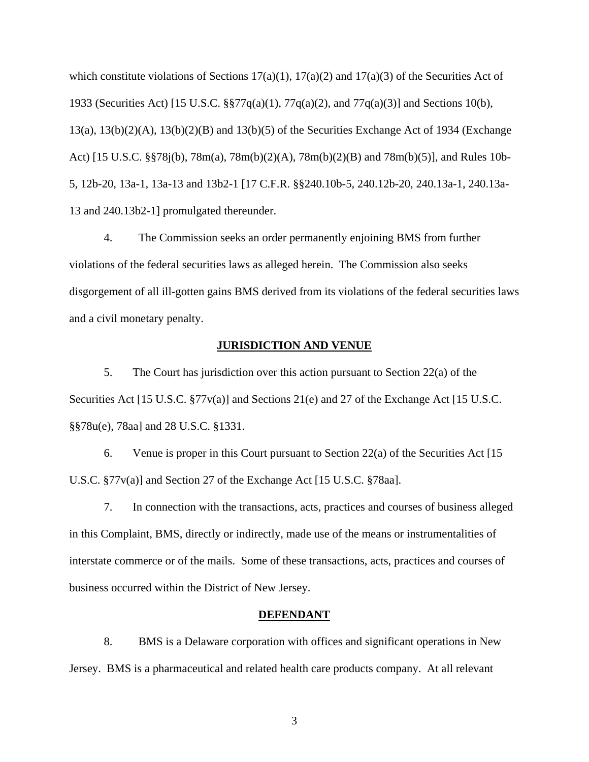which constitute violations of Sections  $17(a)(1)$ ,  $17(a)(2)$  and  $17(a)(3)$  of the Securities Act of 1933 (Securities Act) [15 U.S.C. §§77q(a)(1), 77q(a)(2), and 77q(a)(3)] and Sections 10(b), 13(a), 13(b)(2)(A), 13(b)(2)(B) and 13(b)(5) of the Securities Exchange Act of 1934 (Exchange Act) [15 U.S.C. §§78j(b), 78m(a), 78m(b)(2)(A), 78m(b)(2)(B) and 78m(b)(5)], and Rules 10b-5, 12b-20, 13a-1, 13a-13 and 13b2-1 [17 C.F.R. §§240.10b-5, 240.12b-20, 240.13a-1, 240.13a-13 and 240.13b2-1] promulgated thereunder.

4. The Commission seeks an order permanently enjoining BMS from further violations of the federal securities laws as alleged herein. The Commission also seeks disgorgement of all ill-gotten gains BMS derived from its violations of the federal securities laws and a civil monetary penalty.

### **JURISDICTION AND VENUE**

5. The Court has jurisdiction over this action pursuant to Section 22(a) of the Securities Act [15 U.S.C. §77v(a)] and Sections 21(e) and 27 of the Exchange Act [15 U.S.C. §§78u(e), 78aa] and 28 U.S.C. §1331.

6. Venue is proper in this Court pursuant to Section 22(a) of the Securities Act [15 U.S.C. §77v(a)] and Section 27 of the Exchange Act [15 U.S.C. §78aa].

7. In connection with the transactions, acts, practices and courses of business alleged in this Complaint, BMS, directly or indirectly, made use of the means or instrumentalities of interstate commerce or of the mails. Some of these transactions, acts, practices and courses of business occurred within the District of New Jersey.

#### **DEFENDANT**

8. BMS is a Delaware corporation with offices and significant operations in New Jersey. BMS is a pharmaceutical and related health care products company. At all relevant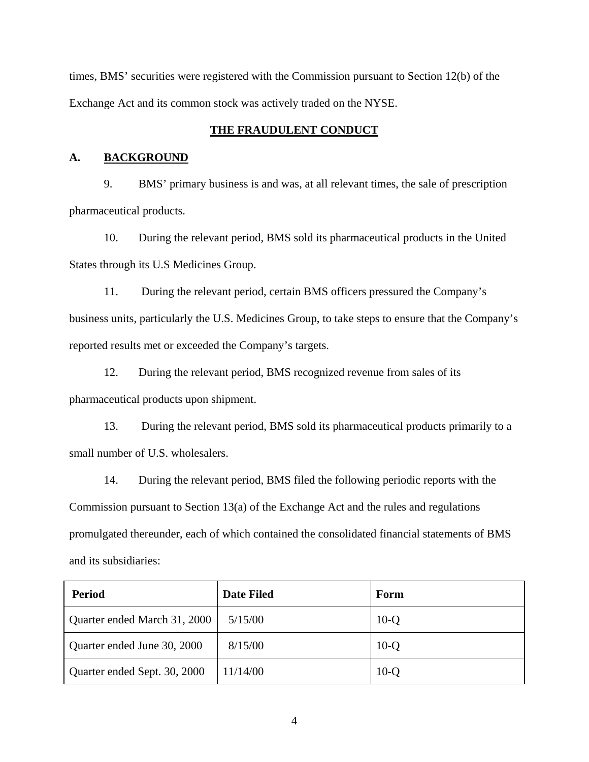times, BMS' securities were registered with the Commission pursuant to Section 12(b) of the Exchange Act and its common stock was actively traded on the NYSE.

## **THE FRAUDULENT CONDUCT**

### **A. BACKGROUND**

9. BMS' primary business is and was, at all relevant times, the sale of prescription pharmaceutical products.

10. During the relevant period, BMS sold its pharmaceutical products in the United States through its U.S Medicines Group.

11. During the relevant period, certain BMS officers pressured the Company's business units, particularly the U.S. Medicines Group, to take steps to ensure that the Company's reported results met or exceeded the Company's targets.

12. During the relevant period, BMS recognized revenue from sales of its pharmaceutical products upon shipment.

13. During the relevant period, BMS sold its pharmaceutical products primarily to a small number of U.S. wholesalers.

14. During the relevant period, BMS filed the following periodic reports with the Commission pursuant to Section 13(a) of the Exchange Act and the rules and regulations promulgated thereunder, each of which contained the consolidated financial statements of BMS and its subsidiaries:

| <b>Period</b>                | <b>Date Filed</b> | Form   |
|------------------------------|-------------------|--------|
| Quarter ended March 31, 2000 | 5/15/00           | $10-Q$ |
| Quarter ended June 30, 2000  | 8/15/00           | $10-Q$ |
| Quarter ended Sept. 30, 2000 | 11/14/00          | $10-Q$ |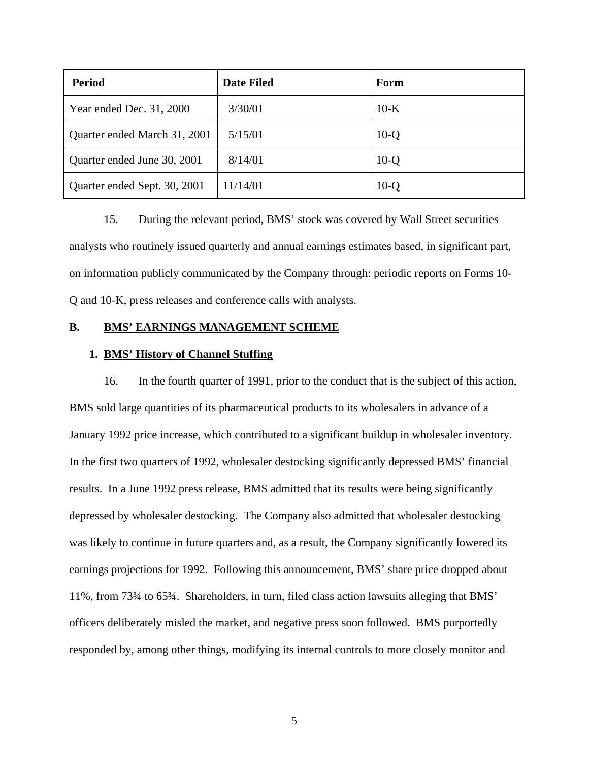| <b>Period</b>                | <b>Date Filed</b> | Form   |
|------------------------------|-------------------|--------|
| Year ended Dec. 31, 2000     | 3/30/01           | $10-K$ |
| Quarter ended March 31, 2001 | 5/15/01           | $10-Q$ |
| Quarter ended June 30, 2001  | 8/14/01           | $10-Q$ |
| Quarter ended Sept. 30, 2001 | 11/14/01          | $10-Q$ |

15. During the relevant period, BMS' stock was covered by Wall Street securities analysts who routinely issued quarterly and annual earnings estimates based, in significant part, on information publicly communicated by the Company through: periodic reports on Forms 10- Q and 10-K, press releases and conference calls with analysts.

### **B. BMS' EARNINGS MANAGEMENT SCHEME**

# **1. BMS' History of Channel Stuffing**

16. In the fourth quarter of 1991, prior to the conduct that is the subject of this action, BMS sold large quantities of its pharmaceutical products to its wholesalers in advance of a January 1992 price increase, which contributed to a significant buildup in wholesaler inventory. In the first two quarters of 1992, wholesaler destocking significantly depressed BMS' financial results. In a June 1992 press release, BMS admitted that its results were being significantly depressed by wholesaler destocking. The Company also admitted that wholesaler destocking was likely to continue in future quarters and, as a result, the Company significantly lowered its earnings projections for 1992. Following this announcement, BMS' share price dropped about 11%, from 73¾ to 65¾. Shareholders, in turn, filed class action lawsuits alleging that BMS' officers deliberately misled the market, and negative press soon followed. BMS purportedly responded by, among other things, modifying its internal controls to more closely monitor and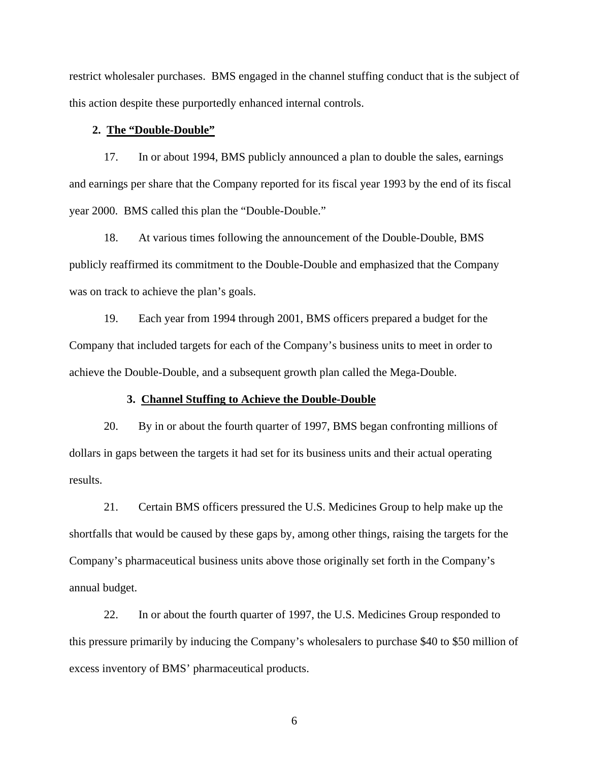restrict wholesaler purchases. BMS engaged in the channel stuffing conduct that is the subject of this action despite these purportedly enhanced internal controls.

#### **2. The "Double-Double"**

17. In or about 1994, BMS publicly announced a plan to double the sales, earnings and earnings per share that the Company reported for its fiscal year 1993 by the end of its fiscal year 2000. BMS called this plan the "Double-Double."

18. At various times following the announcement of the Double-Double, BMS publicly reaffirmed its commitment to the Double-Double and emphasized that the Company was on track to achieve the plan's goals.

19. Each year from 1994 through 2001, BMS officers prepared a budget for the Company that included targets for each of the Company's business units to meet in order to achieve the Double-Double, and a subsequent growth plan called the Mega-Double.

### **3. Channel Stuffing to Achieve the Double-Double**

20. By in or about the fourth quarter of 1997, BMS began confronting millions of dollars in gaps between the targets it had set for its business units and their actual operating results.

21. Certain BMS officers pressured the U.S. Medicines Group to help make up the shortfalls that would be caused by these gaps by, among other things, raising the targets for the Company's pharmaceutical business units above those originally set forth in the Company's annual budget.

22. In or about the fourth quarter of 1997, the U.S. Medicines Group responded to this pressure primarily by inducing the Company's wholesalers to purchase \$40 to \$50 million of excess inventory of BMS' pharmaceutical products.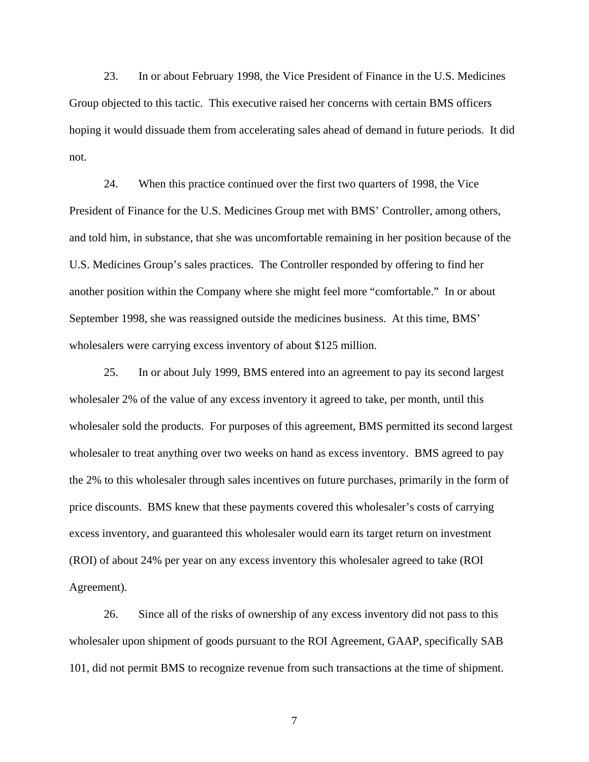23. In or about February 1998, the Vice President of Finance in the U.S. Medicines Group objected to this tactic. This executive raised her concerns with certain BMS officers hoping it would dissuade them from accelerating sales ahead of demand in future periods. It did not.

24. When this practice continued over the first two quarters of 1998, the Vice President of Finance for the U.S. Medicines Group met with BMS' Controller, among others, and told him, in substance, that she was uncomfortable remaining in her position because of the U.S. Medicines Group's sales practices. The Controller responded by offering to find her another position within the Company where she might feel more "comfortable." In or about September 1998, she was reassigned outside the medicines business. At this time, BMS' wholesalers were carrying excess inventory of about \$125 million.

25. In or about July 1999, BMS entered into an agreement to pay its second largest wholesaler 2% of the value of any excess inventory it agreed to take, per month, until this wholesaler sold the products. For purposes of this agreement, BMS permitted its second largest wholesaler to treat anything over two weeks on hand as excess inventory. BMS agreed to pay the 2% to this wholesaler through sales incentives on future purchases, primarily in the form of price discounts. BMS knew that these payments covered this wholesaler's costs of carrying excess inventory, and guaranteed this wholesaler would earn its target return on investment (ROI) of about 24% per year on any excess inventory this wholesaler agreed to take (ROI Agreement).

26. Since all of the risks of ownership of any excess inventory did not pass to this wholesaler upon shipment of goods pursuant to the ROI Agreement, GAAP, specifically SAB 101, did not permit BMS to recognize revenue from such transactions at the time of shipment.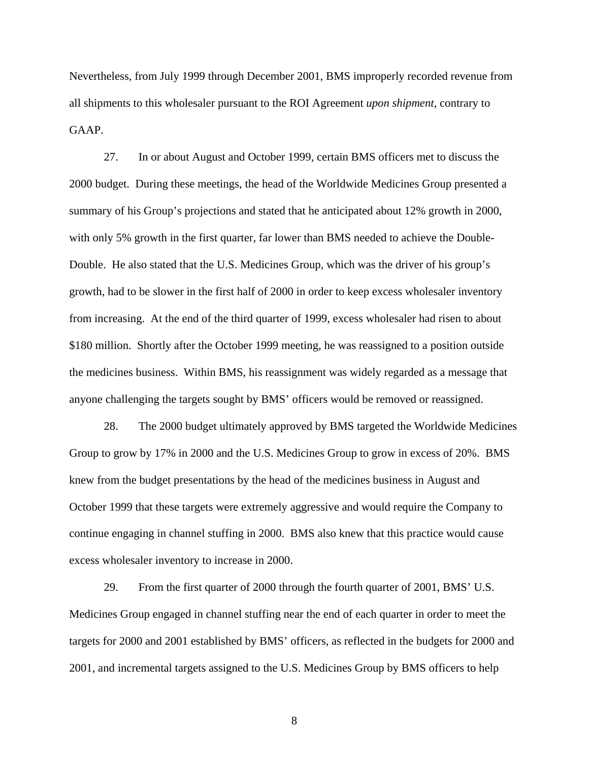Nevertheless, from July 1999 through December 2001, BMS improperly recorded revenue from all shipments to this wholesaler pursuant to the ROI Agreement *upon shipment,* contrary to GAAP.

27. In or about August and October 1999, certain BMS officers met to discuss the 2000 budget. During these meetings, the head of the Worldwide Medicines Group presented a summary of his Group's projections and stated that he anticipated about 12% growth in 2000, with only 5% growth in the first quarter, far lower than BMS needed to achieve the Double-Double. He also stated that the U.S. Medicines Group, which was the driver of his group's growth, had to be slower in the first half of 2000 in order to keep excess wholesaler inventory from increasing. At the end of the third quarter of 1999, excess wholesaler had risen to about \$180 million. Shortly after the October 1999 meeting, he was reassigned to a position outside the medicines business. Within BMS, his reassignment was widely regarded as a message that anyone challenging the targets sought by BMS' officers would be removed or reassigned.

28. The 2000 budget ultimately approved by BMS targeted the Worldwide Medicines Group to grow by 17% in 2000 and the U.S. Medicines Group to grow in excess of 20%. BMS knew from the budget presentations by the head of the medicines business in August and October 1999 that these targets were extremely aggressive and would require the Company to continue engaging in channel stuffing in 2000. BMS also knew that this practice would cause excess wholesaler inventory to increase in 2000.

29. From the first quarter of 2000 through the fourth quarter of 2001, BMS' U.S. Medicines Group engaged in channel stuffing near the end of each quarter in order to meet the targets for 2000 and 2001 established by BMS' officers, as reflected in the budgets for 2000 and 2001, and incremental targets assigned to the U.S. Medicines Group by BMS officers to help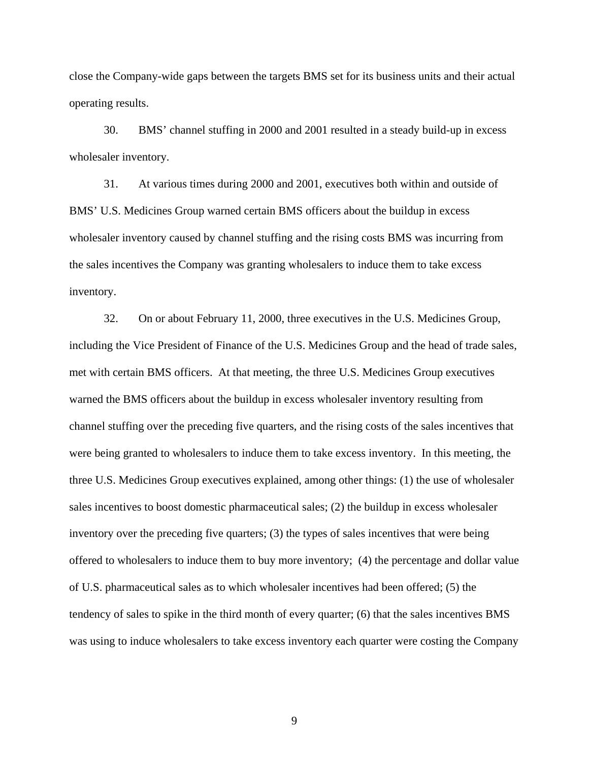close the Company-wide gaps between the targets BMS set for its business units and their actual operating results.

30. BMS' channel stuffing in 2000 and 2001 resulted in a steady build-up in excess wholesaler inventory.

31. At various times during 2000 and 2001, executives both within and outside of BMS' U.S. Medicines Group warned certain BMS officers about the buildup in excess wholesaler inventory caused by channel stuffing and the rising costs BMS was incurring from the sales incentives the Company was granting wholesalers to induce them to take excess inventory.

32. On or about February 11, 2000, three executives in the U.S. Medicines Group, including the Vice President of Finance of the U.S. Medicines Group and the head of trade sales, met with certain BMS officers. At that meeting, the three U.S. Medicines Group executives warned the BMS officers about the buildup in excess wholesaler inventory resulting from channel stuffing over the preceding five quarters, and the rising costs of the sales incentives that were being granted to wholesalers to induce them to take excess inventory. In this meeting, the three U.S. Medicines Group executives explained, among other things: (1) the use of wholesaler sales incentives to boost domestic pharmaceutical sales; (2) the buildup in excess wholesaler inventory over the preceding five quarters; (3) the types of sales incentives that were being offered to wholesalers to induce them to buy more inventory; (4) the percentage and dollar value of U.S. pharmaceutical sales as to which wholesaler incentives had been offered; (5) the tendency of sales to spike in the third month of every quarter; (6) that the sales incentives BMS was using to induce wholesalers to take excess inventory each quarter were costing the Company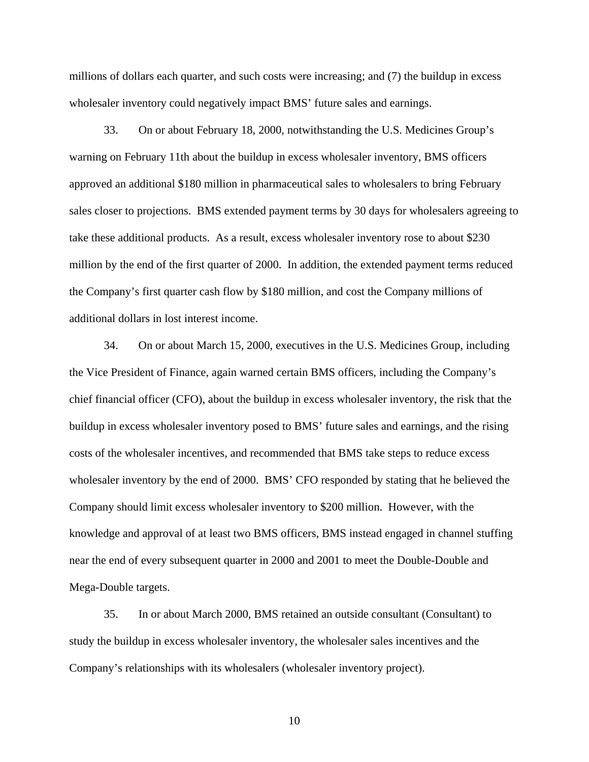millions of dollars each quarter, and such costs were increasing; and (7) the buildup in excess wholesaler inventory could negatively impact BMS' future sales and earnings.

33. On or about February 18, 2000, notwithstanding the U.S. Medicines Group's warning on February 11th about the buildup in excess wholesaler inventory, BMS officers approved an additional \$180 million in pharmaceutical sales to wholesalers to bring February sales closer to projections. BMS extended payment terms by 30 days for wholesalers agreeing to take these additional products. As a result, excess wholesaler inventory rose to about \$230 million by the end of the first quarter of 2000. In addition, the extended payment terms reduced the Company's first quarter cash flow by \$180 million, and cost the Company millions of additional dollars in lost interest income.

34. On or about March 15, 2000, executives in the U.S. Medicines Group, including the Vice President of Finance, again warned certain BMS officers, including the Company's chief financial officer (CFO), about the buildup in excess wholesaler inventory, the risk that the buildup in excess wholesaler inventory posed to BMS' future sales and earnings, and the rising costs of the wholesaler incentives, and recommended that BMS take steps to reduce excess wholesaler inventory by the end of 2000. BMS' CFO responded by stating that he believed the Company should limit excess wholesaler inventory to \$200 million. However, with the knowledge and approval of at least two BMS officers, BMS instead engaged in channel stuffing near the end of every subsequent quarter in 2000 and 2001 to meet the Double-Double and Mega-Double targets.

35. In or about March 2000, BMS retained an outside consultant (Consultant) to study the buildup in excess wholesaler inventory, the wholesaler sales incentives and the Company's relationships with its wholesalers (wholesaler inventory project).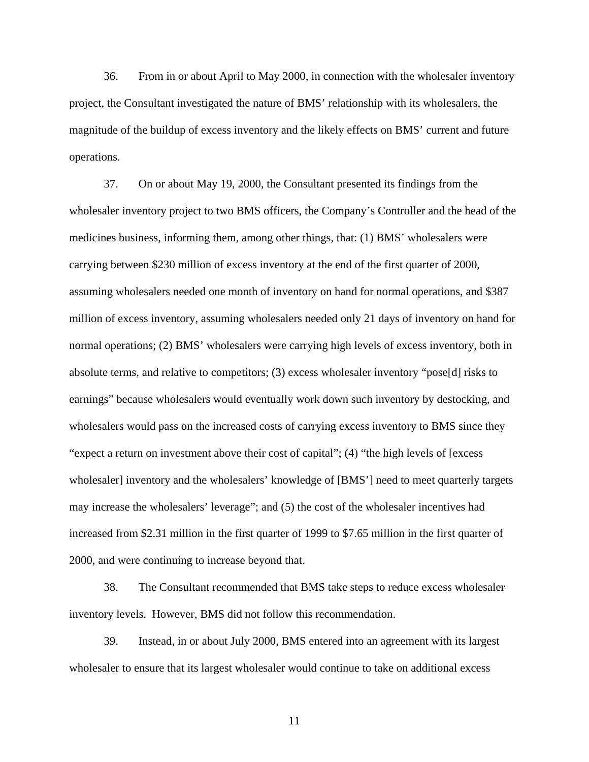36. From in or about April to May 2000, in connection with the wholesaler inventory project, the Consultant investigated the nature of BMS' relationship with its wholesalers, the magnitude of the buildup of excess inventory and the likely effects on BMS' current and future operations.

37. On or about May 19, 2000, the Consultant presented its findings from the wholesaler inventory project to two BMS officers, the Company's Controller and the head of the medicines business, informing them, among other things, that: (1) BMS' wholesalers were carrying between \$230 million of excess inventory at the end of the first quarter of 2000, assuming wholesalers needed one month of inventory on hand for normal operations, and \$387 million of excess inventory, assuming wholesalers needed only 21 days of inventory on hand for normal operations; (2) BMS' wholesalers were carrying high levels of excess inventory, both in absolute terms, and relative to competitors; (3) excess wholesaler inventory "pose[d] risks to earnings" because wholesalers would eventually work down such inventory by destocking, and wholesalers would pass on the increased costs of carrying excess inventory to BMS since they "expect a return on investment above their cost of capital"; (4) "the high levels of [excess wholesaler] inventory and the wholesalers' knowledge of [BMS'] need to meet quarterly targets may increase the wholesalers' leverage"; and (5) the cost of the wholesaler incentives had increased from \$2.31 million in the first quarter of 1999 to \$7.65 million in the first quarter of 2000, and were continuing to increase beyond that.

38. The Consultant recommended that BMS take steps to reduce excess wholesaler inventory levels. However, BMS did not follow this recommendation.

39. Instead, in or about July 2000, BMS entered into an agreement with its largest wholesaler to ensure that its largest wholesaler would continue to take on additional excess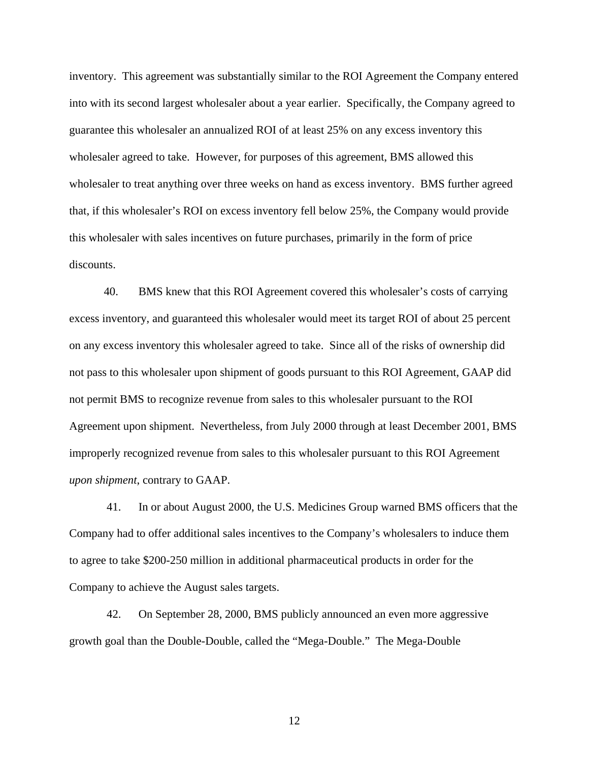inventory. This agreement was substantially similar to the ROI Agreement the Company entered into with its second largest wholesaler about a year earlier. Specifically, the Company agreed to guarantee this wholesaler an annualized ROI of at least 25% on any excess inventory this wholesaler agreed to take. However, for purposes of this agreement, BMS allowed this wholesaler to treat anything over three weeks on hand as excess inventory. BMS further agreed that, if this wholesaler's ROI on excess inventory fell below 25%, the Company would provide this wholesaler with sales incentives on future purchases, primarily in the form of price discounts.

40. BMS knew that this ROI Agreement covered this wholesaler's costs of carrying excess inventory, and guaranteed this wholesaler would meet its target ROI of about 25 percent on any excess inventory this wholesaler agreed to take. Since all of the risks of ownership did not pass to this wholesaler upon shipment of goods pursuant to this ROI Agreement, GAAP did not permit BMS to recognize revenue from sales to this wholesaler pursuant to the ROI Agreement upon shipment. Nevertheless, from July 2000 through at least December 2001, BMS improperly recognized revenue from sales to this wholesaler pursuant to this ROI Agreement *upon shipment*, contrary to GAAP.

 41. In or about August 2000, the U.S. Medicines Group warned BMS officers that the Company had to offer additional sales incentives to the Company's wholesalers to induce them to agree to take \$200-250 million in additional pharmaceutical products in order for the Company to achieve the August sales targets.

 42. On September 28, 2000, BMS publicly announced an even more aggressive growth goal than the Double-Double, called the "Mega-Double." The Mega-Double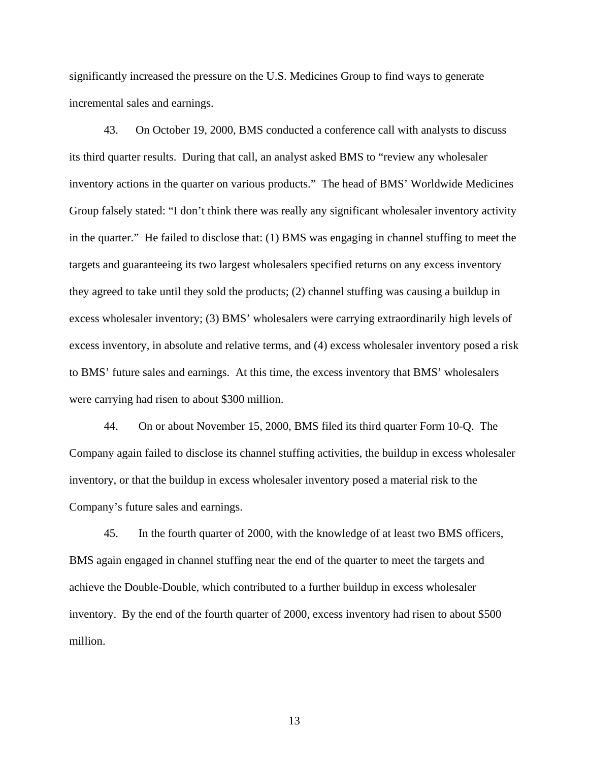significantly increased the pressure on the U.S. Medicines Group to find ways to generate incremental sales and earnings.

43. On October 19, 2000, BMS conducted a conference call with analysts to discuss its third quarter results. During that call, an analyst asked BMS to "review any wholesaler inventory actions in the quarter on various products." The head of BMS' Worldwide Medicines Group falsely stated: "I don't think there was really any significant wholesaler inventory activity in the quarter." He failed to disclose that: (1) BMS was engaging in channel stuffing to meet the targets and guaranteeing its two largest wholesalers specified returns on any excess inventory they agreed to take until they sold the products; (2) channel stuffing was causing a buildup in excess wholesaler inventory; (3) BMS' wholesalers were carrying extraordinarily high levels of excess inventory, in absolute and relative terms, and (4) excess wholesaler inventory posed a risk to BMS' future sales and earnings. At this time, the excess inventory that BMS' wholesalers were carrying had risen to about \$300 million.

44. On or about November 15, 2000, BMS filed its third quarter Form 10-Q. The Company again failed to disclose its channel stuffing activities, the buildup in excess wholesaler inventory, or that the buildup in excess wholesaler inventory posed a material risk to the Company's future sales and earnings.

45. In the fourth quarter of 2000, with the knowledge of at least two BMS officers, BMS again engaged in channel stuffing near the end of the quarter to meet the targets and achieve the Double-Double, which contributed to a further buildup in excess wholesaler inventory. By the end of the fourth quarter of 2000, excess inventory had risen to about \$500 million.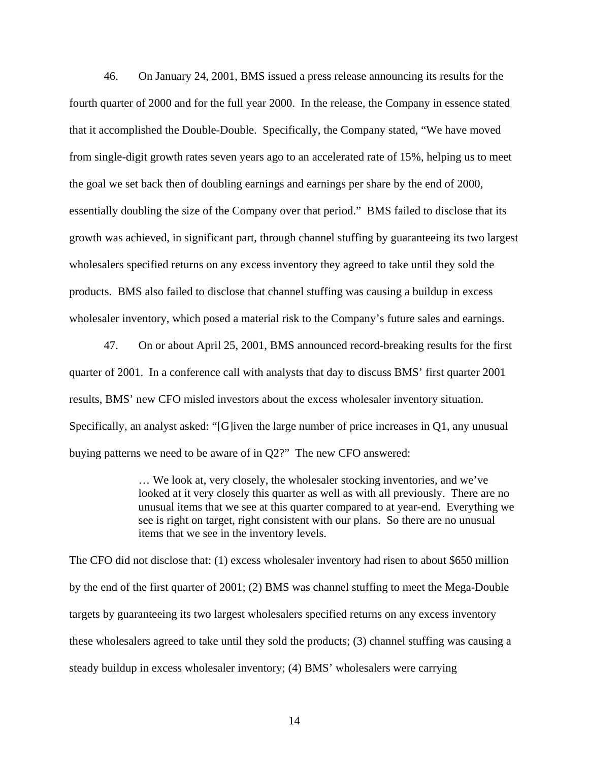46. On January 24, 2001, BMS issued a press release announcing its results for the fourth quarter of 2000 and for the full year 2000. In the release, the Company in essence stated that it accomplished the Double-Double. Specifically, the Company stated, "We have moved from single-digit growth rates seven years ago to an accelerated rate of 15%, helping us to meet the goal we set back then of doubling earnings and earnings per share by the end of 2000, essentially doubling the size of the Company over that period." BMS failed to disclose that its growth was achieved, in significant part, through channel stuffing by guaranteeing its two largest wholesalers specified returns on any excess inventory they agreed to take until they sold the products. BMS also failed to disclose that channel stuffing was causing a buildup in excess wholesaler inventory, which posed a material risk to the Company's future sales and earnings.

47. On or about April 25, 2001, BMS announced record-breaking results for the first quarter of 2001. In a conference call with analysts that day to discuss BMS' first quarter 2001 results, BMS' new CFO misled investors about the excess wholesaler inventory situation. Specifically, an analyst asked: "[G]iven the large number of price increases in Q1, any unusual buying patterns we need to be aware of in Q2?" The new CFO answered:

> … We look at, very closely, the wholesaler stocking inventories, and we've looked at it very closely this quarter as well as with all previously. There are no unusual items that we see at this quarter compared to at year-end. Everything we see is right on target, right consistent with our plans. So there are no unusual items that we see in the inventory levels.

The CFO did not disclose that: (1) excess wholesaler inventory had risen to about \$650 million by the end of the first quarter of 2001; (2) BMS was channel stuffing to meet the Mega-Double targets by guaranteeing its two largest wholesalers specified returns on any excess inventory these wholesalers agreed to take until they sold the products; (3) channel stuffing was causing a steady buildup in excess wholesaler inventory; (4) BMS' wholesalers were carrying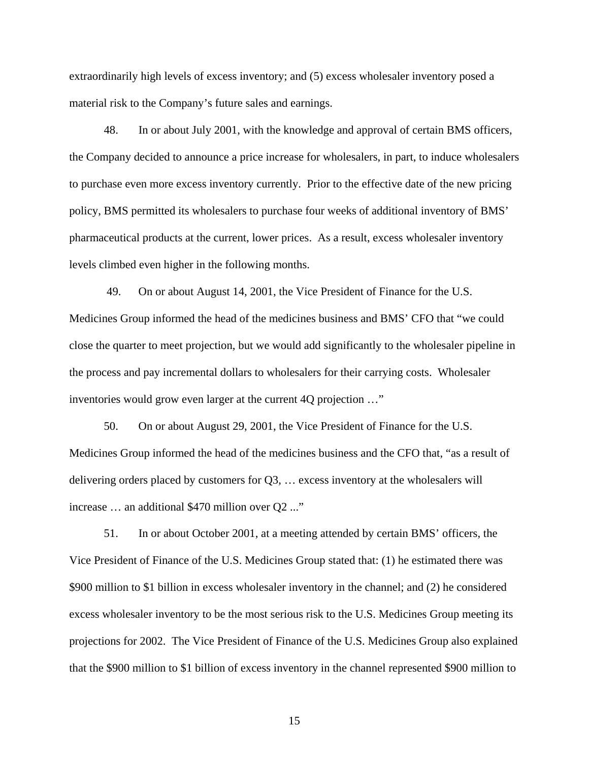extraordinarily high levels of excess inventory; and (5) excess wholesaler inventory posed a material risk to the Company's future sales and earnings.

48. In or about July 2001, with the knowledge and approval of certain BMS officers, the Company decided to announce a price increase for wholesalers, in part, to induce wholesalers to purchase even more excess inventory currently. Prior to the effective date of the new pricing policy, BMS permitted its wholesalers to purchase four weeks of additional inventory of BMS' pharmaceutical products at the current, lower prices. As a result, excess wholesaler inventory levels climbed even higher in the following months.

 49. On or about August 14, 2001, the Vice President of Finance for the U.S. Medicines Group informed the head of the medicines business and BMS' CFO that "we could close the quarter to meet projection, but we would add significantly to the wholesaler pipeline in the process and pay incremental dollars to wholesalers for their carrying costs. Wholesaler inventories would grow even larger at the current 4Q projection …"

 50. On or about August 29, 2001, the Vice President of Finance for the U.S. Medicines Group informed the head of the medicines business and the CFO that, "as a result of delivering orders placed by customers for Q3, … excess inventory at the wholesalers will increase … an additional \$470 million over Q2 ..."

51. In or about October 2001, at a meeting attended by certain BMS' officers, the Vice President of Finance of the U.S. Medicines Group stated that: (1) he estimated there was \$900 million to \$1 billion in excess wholesaler inventory in the channel; and (2) he considered excess wholesaler inventory to be the most serious risk to the U.S. Medicines Group meeting its projections for 2002. The Vice President of Finance of the U.S. Medicines Group also explained that the \$900 million to \$1 billion of excess inventory in the channel represented \$900 million to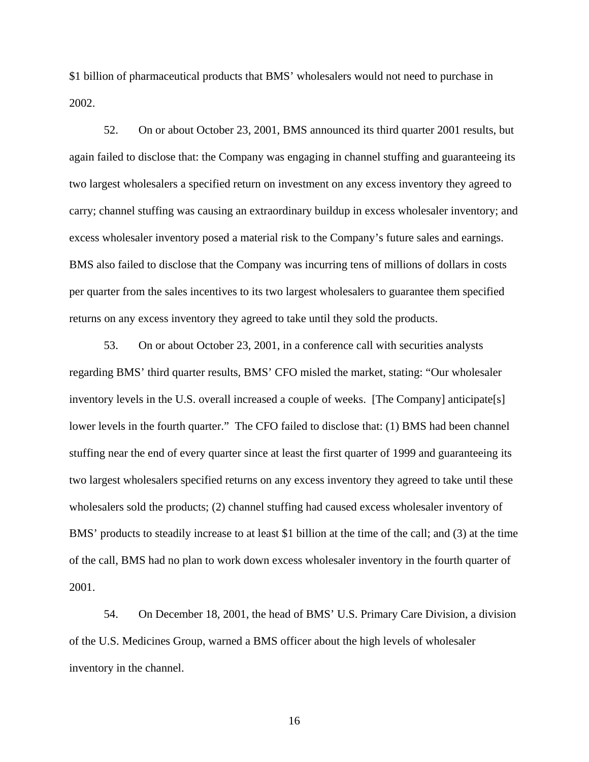\$1 billion of pharmaceutical products that BMS' wholesalers would not need to purchase in 2002.

52. On or about October 23, 2001, BMS announced its third quarter 2001 results, but again failed to disclose that: the Company was engaging in channel stuffing and guaranteeing its two largest wholesalers a specified return on investment on any excess inventory they agreed to carry; channel stuffing was causing an extraordinary buildup in excess wholesaler inventory; and excess wholesaler inventory posed a material risk to the Company's future sales and earnings. BMS also failed to disclose that the Company was incurring tens of millions of dollars in costs per quarter from the sales incentives to its two largest wholesalers to guarantee them specified returns on any excess inventory they agreed to take until they sold the products.

53. On or about October 23, 2001, in a conference call with securities analysts regarding BMS' third quarter results, BMS' CFO misled the market, stating: "Our wholesaler inventory levels in the U.S. overall increased a couple of weeks. [The Company] anticipate[s] lower levels in the fourth quarter." The CFO failed to disclose that: (1) BMS had been channel stuffing near the end of every quarter since at least the first quarter of 1999 and guaranteeing its two largest wholesalers specified returns on any excess inventory they agreed to take until these wholesalers sold the products; (2) channel stuffing had caused excess wholesaler inventory of BMS' products to steadily increase to at least \$1 billion at the time of the call; and (3) at the time of the call, BMS had no plan to work down excess wholesaler inventory in the fourth quarter of 2001.

54. On December 18, 2001, the head of BMS' U.S. Primary Care Division, a division of the U.S. Medicines Group, warned a BMS officer about the high levels of wholesaler inventory in the channel.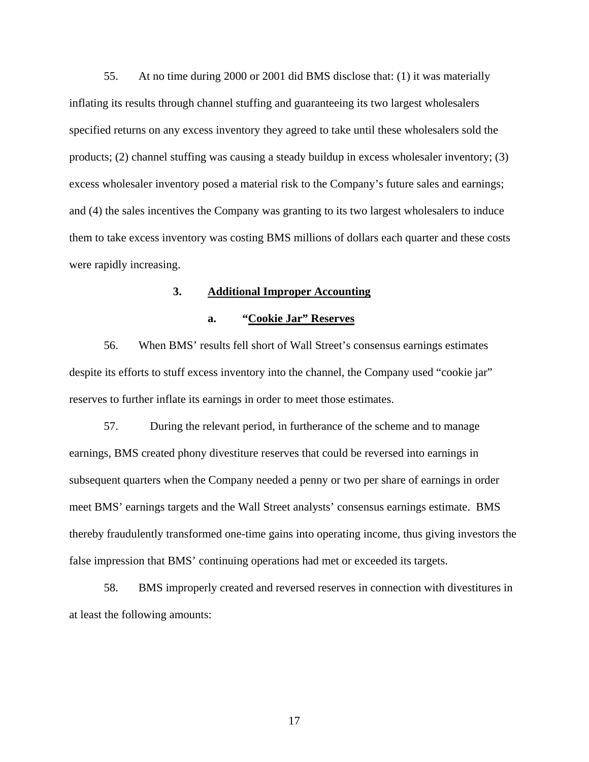55. At no time during 2000 or 2001 did BMS disclose that: (1) it was materially inflating its results through channel stuffing and guaranteeing its two largest wholesalers specified returns on any excess inventory they agreed to take until these wholesalers sold the products; (2) channel stuffing was causing a steady buildup in excess wholesaler inventory; (3) excess wholesaler inventory posed a material risk to the Company's future sales and earnings; and (4) the sales incentives the Company was granting to its two largest wholesalers to induce them to take excess inventory was costing BMS millions of dollars each quarter and these costs were rapidly increasing.

# **3. Additional Improper Accounting**

### **a. "Cookie Jar" Reserves**

56. When BMS' results fell short of Wall Street's consensus earnings estimates despite its efforts to stuff excess inventory into the channel, the Company used "cookie jar" reserves to further inflate its earnings in order to meet those estimates.

57. During the relevant period, in furtherance of the scheme and to manage earnings, BMS created phony divestiture reserves that could be reversed into earnings in subsequent quarters when the Company needed a penny or two per share of earnings in order meet BMS' earnings targets and the Wall Street analysts' consensus earnings estimate. BMS thereby fraudulently transformed one-time gains into operating income, thus giving investors the false impression that BMS' continuing operations had met or exceeded its targets.

58. BMS improperly created and reversed reserves in connection with divestitures in at least the following amounts: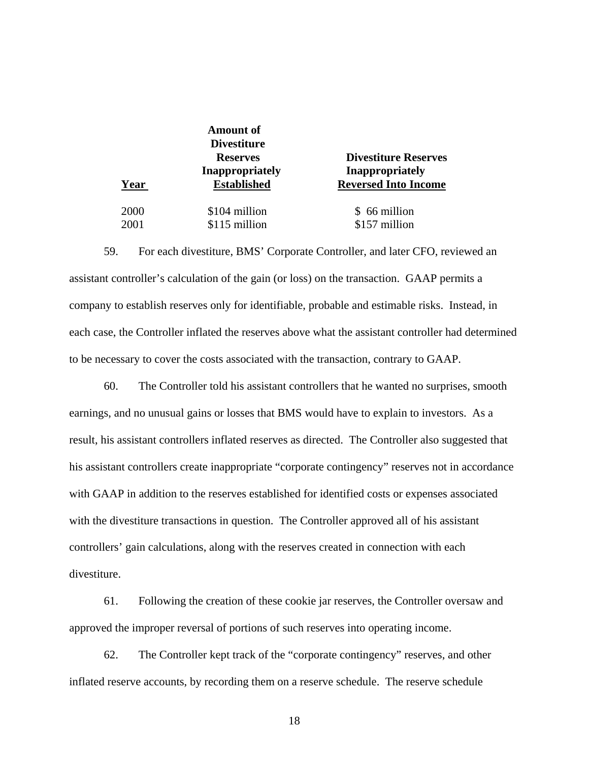**Amount of Divestiture** 

 **Reserves Divestiture Reserves Inappropriately Inappropriately Fraud Year Established Reversed Into Income** 

2000 \$104 million \$66 million 2001 \$115 million \$157 million

59. For each divestiture, BMS' Corporate Controller, and later CFO, reviewed an assistant controller's calculation of the gain (or loss) on the transaction. GAAP permits a company to establish reserves only for identifiable, probable and estimable risks. Instead, in each case, the Controller inflated the reserves above what the assistant controller had determined to be necessary to cover the costs associated with the transaction, contrary to GAAP.

60. The Controller told his assistant controllers that he wanted no surprises, smooth earnings, and no unusual gains or losses that BMS would have to explain to investors. As a result, his assistant controllers inflated reserves as directed. The Controller also suggested that his assistant controllers create inappropriate "corporate contingency" reserves not in accordance with GAAP in addition to the reserves established for identified costs or expenses associated with the divestiture transactions in question. The Controller approved all of his assistant controllers' gain calculations, along with the reserves created in connection with each divestiture.

61. Following the creation of these cookie jar reserves, the Controller oversaw and approved the improper reversal of portions of such reserves into operating income.

62. The Controller kept track of the "corporate contingency" reserves, and other inflated reserve accounts, by recording them on a reserve schedule. The reserve schedule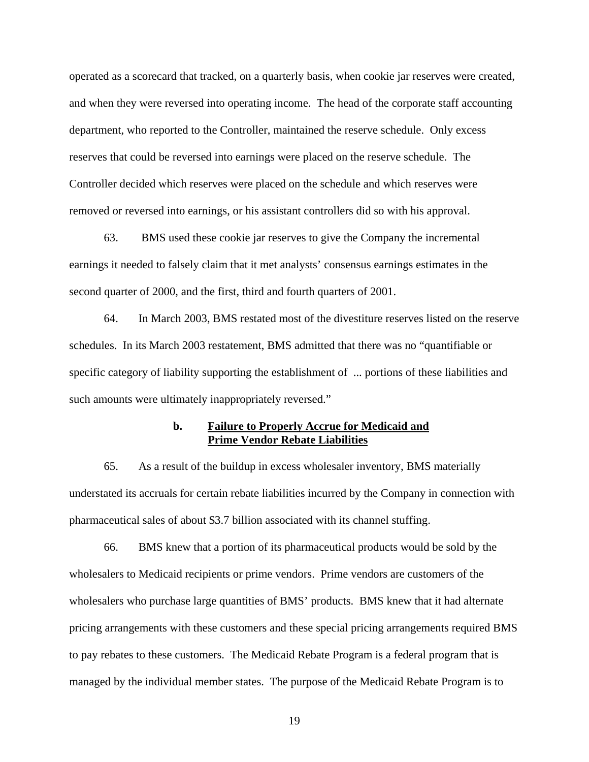operated as a scorecard that tracked, on a quarterly basis, when cookie jar reserves were created, and when they were reversed into operating income. The head of the corporate staff accounting department, who reported to the Controller, maintained the reserve schedule. Only excess reserves that could be reversed into earnings were placed on the reserve schedule. The Controller decided which reserves were placed on the schedule and which reserves were removed or reversed into earnings, or his assistant controllers did so with his approval.

63. BMS used these cookie jar reserves to give the Company the incremental earnings it needed to falsely claim that it met analysts' consensus earnings estimates in the second quarter of 2000, and the first, third and fourth quarters of 2001.

64. In March 2003, BMS restated most of the divestiture reserves listed on the reserve schedules. In its March 2003 restatement, BMS admitted that there was no "quantifiable or specific category of liability supporting the establishment of ... portions of these liabilities and such amounts were ultimately inappropriately reversed."

# **b. Failure to Properly Accrue for Medicaid and Prime Vendor Rebate Liabilities**

65. As a result of the buildup in excess wholesaler inventory, BMS materially understated its accruals for certain rebate liabilities incurred by the Company in connection with pharmaceutical sales of about \$3.7 billion associated with its channel stuffing.

66. BMS knew that a portion of its pharmaceutical products would be sold by the wholesalers to Medicaid recipients or prime vendors. Prime vendors are customers of the wholesalers who purchase large quantities of BMS' products. BMS knew that it had alternate pricing arrangements with these customers and these special pricing arrangements required BMS to pay rebates to these customers. The Medicaid Rebate Program is a federal program that is managed by the individual member states. The purpose of the Medicaid Rebate Program is to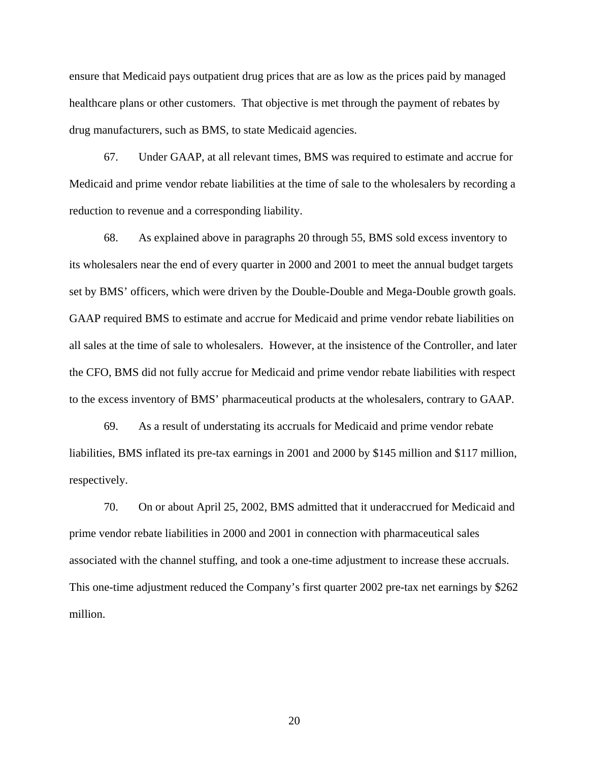ensure that Medicaid pays outpatient drug prices that are as low as the prices paid by managed healthcare plans or other customers. That objective is met through the payment of rebates by drug manufacturers, such as BMS, to state Medicaid agencies.

67. Under GAAP, at all relevant times, BMS was required to estimate and accrue for Medicaid and prime vendor rebate liabilities at the time of sale to the wholesalers by recording a reduction to revenue and a corresponding liability.

68. As explained above in paragraphs 20 through 55, BMS sold excess inventory to its wholesalers near the end of every quarter in 2000 and 2001 to meet the annual budget targets set by BMS' officers, which were driven by the Double-Double and Mega-Double growth goals. GAAP required BMS to estimate and accrue for Medicaid and prime vendor rebate liabilities on all sales at the time of sale to wholesalers. However, at the insistence of the Controller, and later the CFO, BMS did not fully accrue for Medicaid and prime vendor rebate liabilities with respect to the excess inventory of BMS' pharmaceutical products at the wholesalers, contrary to GAAP.

69. As a result of understating its accruals for Medicaid and prime vendor rebate liabilities, BMS inflated its pre-tax earnings in 2001 and 2000 by \$145 million and \$117 million, respectively.

70. On or about April 25, 2002, BMS admitted that it underaccrued for Medicaid and prime vendor rebate liabilities in 2000 and 2001 in connection with pharmaceutical sales associated with the channel stuffing, and took a one-time adjustment to increase these accruals. This one-time adjustment reduced the Company's first quarter 2002 pre-tax net earnings by \$262 million.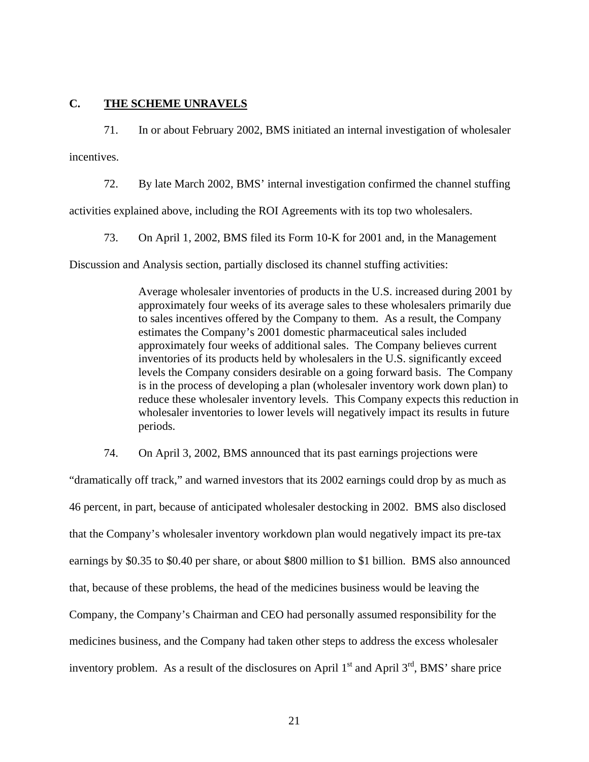## **C. THE SCHEME UNRAVELS**

71. In or about February 2002, BMS initiated an internal investigation of wholesaler

incentives.

72. By late March 2002, BMS' internal investigation confirmed the channel stuffing

activities explained above, including the ROI Agreements with its top two wholesalers.

73. On April 1, 2002, BMS filed its Form 10-K for 2001 and, in the Management

Discussion and Analysis section, partially disclosed its channel stuffing activities:

Average wholesaler inventories of products in the U.S. increased during 2001 by approximately four weeks of its average sales to these wholesalers primarily due to sales incentives offered by the Company to them. As a result, the Company estimates the Company's 2001 domestic pharmaceutical sales included approximately four weeks of additional sales. The Company believes current inventories of its products held by wholesalers in the U.S. significantly exceed levels the Company considers desirable on a going forward basis. The Company is in the process of developing a plan (wholesaler inventory work down plan) to reduce these wholesaler inventory levels. This Company expects this reduction in wholesaler inventories to lower levels will negatively impact its results in future periods.

74. On April 3, 2002, BMS announced that its past earnings projections were

"dramatically off track," and warned investors that its 2002 earnings could drop by as much as 46 percent, in part, because of anticipated wholesaler destocking in 2002. BMS also disclosed that the Company's wholesaler inventory workdown plan would negatively impact its pre-tax earnings by \$0.35 to \$0.40 per share, or about \$800 million to \$1 billion. BMS also announced that, because of these problems, the head of the medicines business would be leaving the Company, the Company's Chairman and CEO had personally assumed responsibility for the medicines business, and the Company had taken other steps to address the excess wholesaler inventory problem. As a result of the disclosures on April  $1<sup>st</sup>$  and April  $3<sup>rd</sup>$ , BMS' share price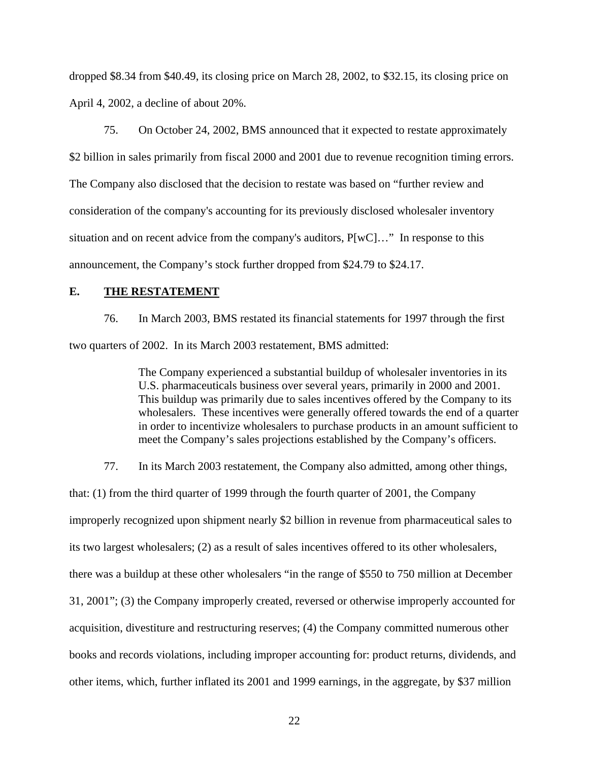dropped \$8.34 from \$40.49, its closing price on March 28, 2002, to \$32.15, its closing price on April 4, 2002, a decline of about 20%.

75. On October 24, 2002, BMS announced that it expected to restate approximately \$2 billion in sales primarily from fiscal 2000 and 2001 due to revenue recognition timing errors. The Company also disclosed that the decision to restate was based on "further review and consideration of the company's accounting for its previously disclosed wholesaler inventory situation and on recent advice from the company's auditors, P[wC]…" In response to this announcement, the Company's stock further dropped from \$24.79 to \$24.17.

# **E. THE RESTATEMENT**

76. In March 2003, BMS restated its financial statements for 1997 through the first two quarters of 2002. In its March 2003 restatement, BMS admitted:

> The Company experienced a substantial buildup of wholesaler inventories in its U.S. pharmaceuticals business over several years, primarily in 2000 and 2001. This buildup was primarily due to sales incentives offered by the Company to its wholesalers. These incentives were generally offered towards the end of a quarter in order to incentivize wholesalers to purchase products in an amount sufficient to meet the Company's sales projections established by the Company's officers.

77. In its March 2003 restatement, the Company also admitted, among other things,

that: (1) from the third quarter of 1999 through the fourth quarter of 2001, the Company improperly recognized upon shipment nearly \$2 billion in revenue from pharmaceutical sales to its two largest wholesalers; (2) as a result of sales incentives offered to its other wholesalers, there was a buildup at these other wholesalers "in the range of \$550 to 750 million at December 31, 2001"; (3) the Company improperly created, reversed or otherwise improperly accounted for acquisition, divestiture and restructuring reserves; (4) the Company committed numerous other books and records violations, including improper accounting for: product returns, dividends, and other items, which, further inflated its 2001 and 1999 earnings, in the aggregate, by \$37 million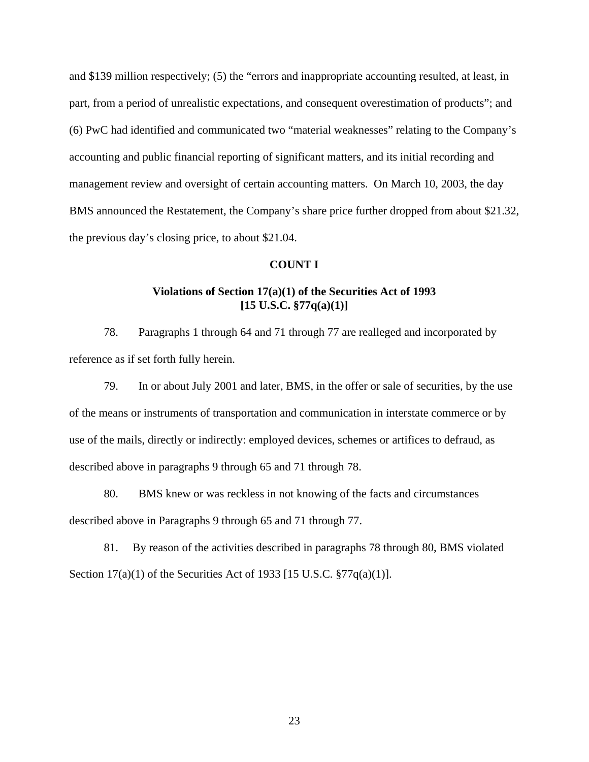and \$139 million respectively; (5) the "errors and inappropriate accounting resulted, at least, in part, from a period of unrealistic expectations, and consequent overestimation of products"; and (6) PwC had identified and communicated two "material weaknesses" relating to the Company's accounting and public financial reporting of significant matters, and its initial recording and management review and oversight of certain accounting matters. On March 10, 2003, the day BMS announced the Restatement, the Company's share price further dropped from about \$21.32, the previous day's closing price, to about \$21.04.

# **COUNT I**

# **Violations of Section 17(a)(1) of the Securities Act of 1993 [15 U.S.C. §77q(a)(1)]**

78. Paragraphs 1 through 64 and 71 through 77 are realleged and incorporated by reference as if set forth fully herein.

79. In or about July 2001 and later, BMS, in the offer or sale of securities, by the use of the means or instruments of transportation and communication in interstate commerce or by use of the mails, directly or indirectly: employed devices, schemes or artifices to defraud, as described above in paragraphs 9 through 65 and 71 through 78.

80. BMS knew or was reckless in not knowing of the facts and circumstances described above in Paragraphs 9 through 65 and 71 through 77.

81. By reason of the activities described in paragraphs 78 through 80, BMS violated Section 17(a)(1) of the Securities Act of 1933 [15 U.S.C. §77q(a)(1)].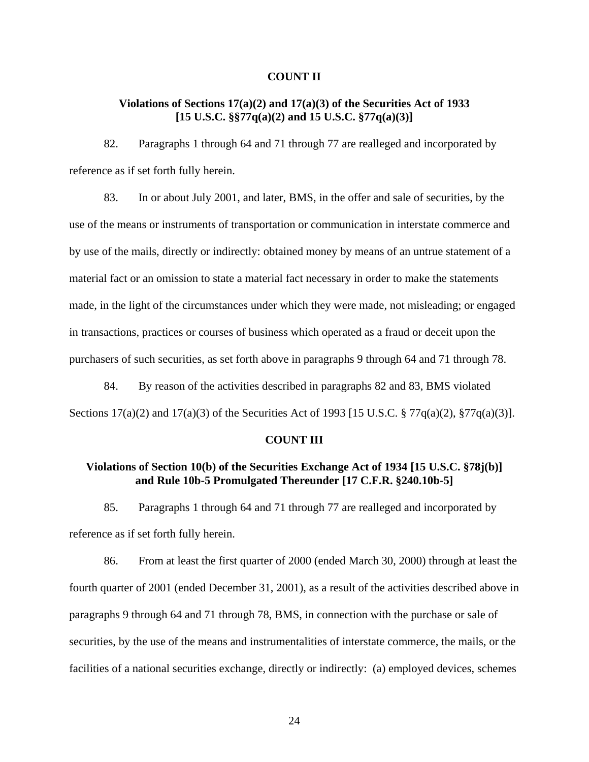### **COUNT II**

# **Violations of Sections 17(a)(2) and 17(a)(3) of the Securities Act of 1933 [15 U.S.C. §§77q(a)(2) and 15 U.S.C. §77q(a)(3)]**

82. Paragraphs 1 through 64 and 71 through 77 are realleged and incorporated by reference as if set forth fully herein.

83. In or about July 2001, and later, BMS, in the offer and sale of securities, by the use of the means or instruments of transportation or communication in interstate commerce and by use of the mails, directly or indirectly: obtained money by means of an untrue statement of a material fact or an omission to state a material fact necessary in order to make the statements made, in the light of the circumstances under which they were made, not misleading; or engaged in transactions, practices or courses of business which operated as a fraud or deceit upon the purchasers of such securities, as set forth above in paragraphs 9 through 64 and 71 through 78.

84. By reason of the activities described in paragraphs 82 and 83, BMS violated Sections 17(a)(2) and 17(a)(3) of the Securities Act of 1993 [15 U.S.C. § 77q(a)(2), §77q(a)(3)].

## **COUNT III**

# **Violations of Section 10(b) of the Securities Exchange Act of 1934 [15 U.S.C. §78j(b)] and Rule 10b-5 Promulgated Thereunder [17 C.F.R. §240.10b-5]**

85. Paragraphs 1 through 64 and 71 through 77 are realleged and incorporated by reference as if set forth fully herein.

86. From at least the first quarter of 2000 (ended March 30, 2000) through at least the fourth quarter of 2001 (ended December 31, 2001), as a result of the activities described above in paragraphs 9 through 64 and 71 through 78, BMS, in connection with the purchase or sale of securities, by the use of the means and instrumentalities of interstate commerce, the mails, or the facilities of a national securities exchange, directly or indirectly: (a) employed devices, schemes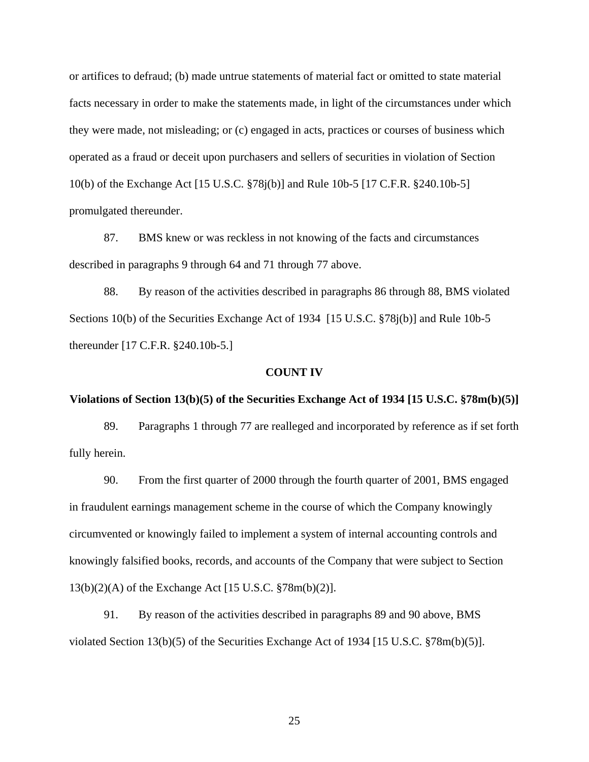or artifices to defraud; (b) made untrue statements of material fact or omitted to state material facts necessary in order to make the statements made, in light of the circumstances under which they were made, not misleading; or (c) engaged in acts, practices or courses of business which operated as a fraud or deceit upon purchasers and sellers of securities in violation of Section 10(b) of the Exchange Act [15 U.S.C. §78j(b)] and Rule 10b-5 [17 C.F.R. §240.10b-5] promulgated thereunder.

87. BMS knew or was reckless in not knowing of the facts and circumstances described in paragraphs 9 through 64 and 71 through 77 above.

88. By reason of the activities described in paragraphs 86 through 88, BMS violated Sections 10(b) of the Securities Exchange Act of 1934 [15 U.S.C. §78j(b)] and Rule 10b-5 thereunder [17 C.F.R. §240.10b-5.]

### **COUNT IV**

#### **Violations of Section 13(b)(5) of the Securities Exchange Act of 1934 [15 U.S.C. §78m(b)(5)]**

89. Paragraphs 1 through 77 are realleged and incorporated by reference as if set forth fully herein.

90. From the first quarter of 2000 through the fourth quarter of 2001, BMS engaged in fraudulent earnings management scheme in the course of which the Company knowingly circumvented or knowingly failed to implement a system of internal accounting controls and knowingly falsified books, records, and accounts of the Company that were subject to Section 13(b)(2)(A) of the Exchange Act [15 U.S.C. §78m(b)(2)].

91. By reason of the activities described in paragraphs 89 and 90 above, BMS violated Section 13(b)(5) of the Securities Exchange Act of 1934 [15 U.S.C. §78m(b)(5)].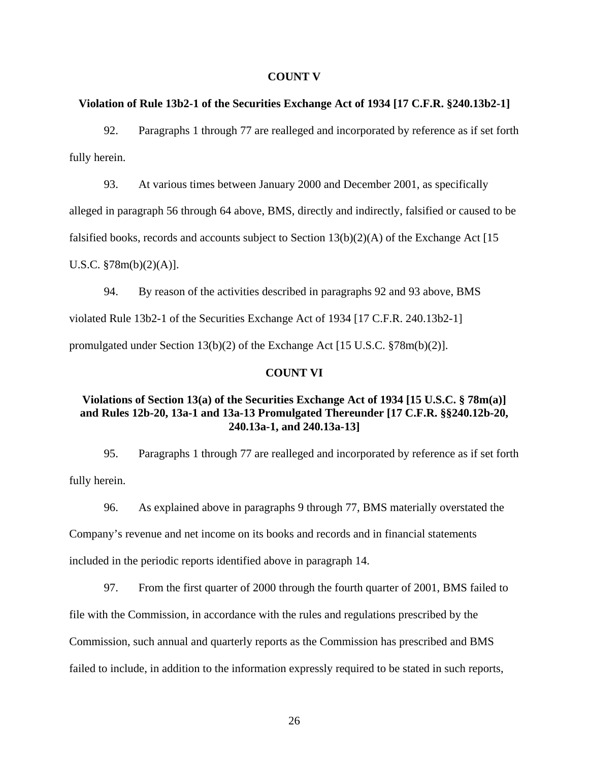#### **COUNT V**

### **Violation of Rule 13b2-1 of the Securities Exchange Act of 1934 [17 C.F.R. §240.13b2-1]**

92. Paragraphs 1 through 77 are realleged and incorporated by reference as if set forth fully herein.

93. At various times between January 2000 and December 2001, as specifically alleged in paragraph 56 through 64 above, BMS, directly and indirectly, falsified or caused to be

falsified books, records and accounts subject to Section  $13(b)(2)(A)$  of the Exchange Act [15]

U.S.C. §78m(b)(2)(A)].

94. By reason of the activities described in paragraphs 92 and 93 above, BMS violated Rule 13b2-1 of the Securities Exchange Act of 1934 [17 C.F.R. 240.13b2-1] promulgated under Section 13(b)(2) of the Exchange Act [15 U.S.C. §78m(b)(2)].

### **COUNT VI**

# **Violations of Section 13(a) of the Securities Exchange Act of 1934 [15 U.S.C. § 78m(a)] and Rules 12b-20, 13a-1 and 13a-13 Promulgated Thereunder [17 C.F.R. §§240.12b-20, 240.13a-1, and 240.13a-13]**

95. Paragraphs 1 through 77 are realleged and incorporated by reference as if set forth fully herein.

96. As explained above in paragraphs 9 through 77, BMS materially overstated the Company's revenue and net income on its books and records and in financial statements included in the periodic reports identified above in paragraph 14.

97. From the first quarter of 2000 through the fourth quarter of 2001, BMS failed to

file with the Commission, in accordance with the rules and regulations prescribed by the

Commission, such annual and quarterly reports as the Commission has prescribed and BMS

failed to include, in addition to the information expressly required to be stated in such reports,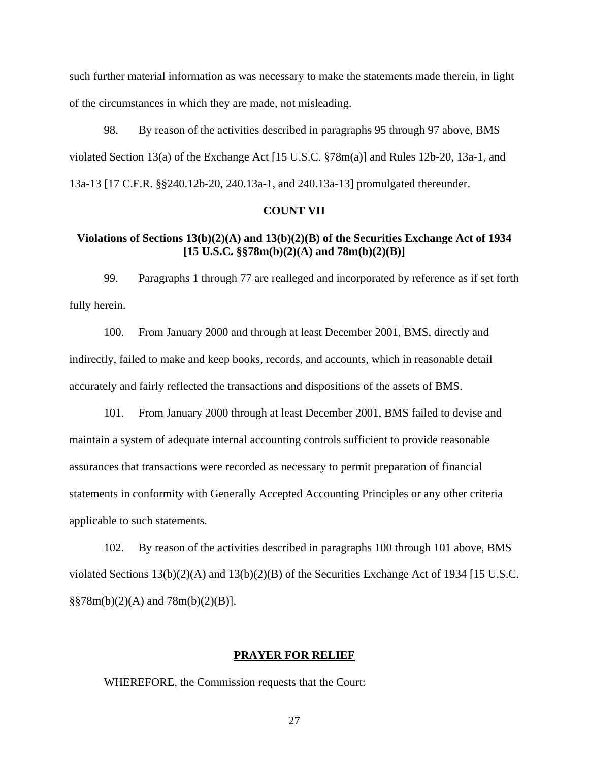such further material information as was necessary to make the statements made therein, in light of the circumstances in which they are made, not misleading.

98. By reason of the activities described in paragraphs 95 through 97 above, BMS violated Section 13(a) of the Exchange Act [15 U.S.C. §78m(a)] and Rules 12b-20, 13a-1, and 13a-13 [17 C.F.R. §§240.12b-20, 240.13a-1, and 240.13a-13] promulgated thereunder.

### **COUNT VII**

# **Violations of Sections 13(b)(2)(A) and 13(b)(2)(B) of the Securities Exchange Act of 1934 [15 U.S.C. §§78m(b)(2)(A) and 78m(b)(2)(B)]**

99. Paragraphs 1 through 77 are realleged and incorporated by reference as if set forth fully herein.

100. From January 2000 and through at least December 2001, BMS, directly and indirectly, failed to make and keep books, records, and accounts, which in reasonable detail accurately and fairly reflected the transactions and dispositions of the assets of BMS.

101. From January 2000 through at least December 2001, BMS failed to devise and maintain a system of adequate internal accounting controls sufficient to provide reasonable assurances that transactions were recorded as necessary to permit preparation of financial statements in conformity with Generally Accepted Accounting Principles or any other criteria applicable to such statements.

102. By reason of the activities described in paragraphs 100 through 101 above, BMS violated Sections  $13(b)(2)(A)$  and  $13(b)(2)(B)$  of the Securities Exchange Act of 1934 [15 U.S.C. §§78m(b)(2)(A) and 78m(b)(2)(B)].

#### **PRAYER FOR RELIEF**

WHEREFORE, the Commission requests that the Court: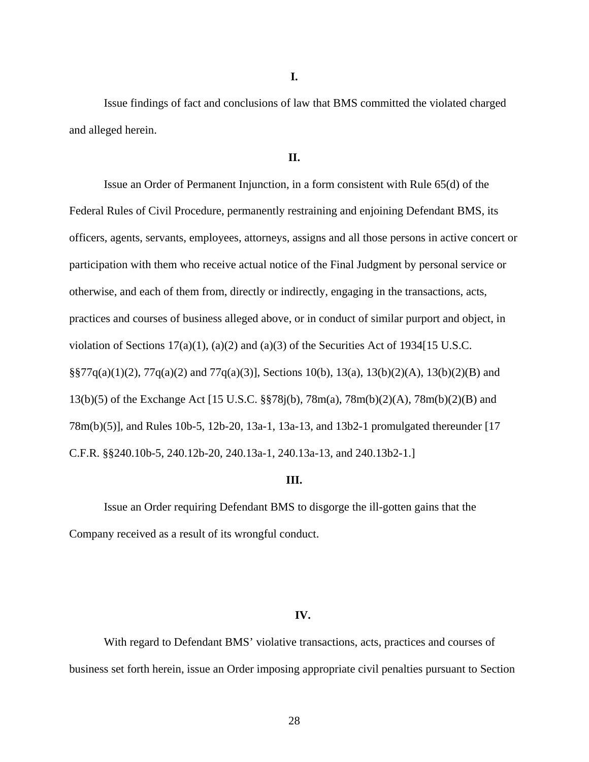**I.** 

Issue findings of fact and conclusions of law that BMS committed the violated charged and alleged herein.

### **II.**

Issue an Order of Permanent Injunction, in a form consistent with Rule 65(d) of the Federal Rules of Civil Procedure, permanently restraining and enjoining Defendant BMS, its officers, agents, servants, employees, attorneys, assigns and all those persons in active concert or participation with them who receive actual notice of the Final Judgment by personal service or otherwise, and each of them from, directly or indirectly, engaging in the transactions, acts, practices and courses of business alleged above, or in conduct of similar purport and object, in violation of Sections 17(a)(1), (a)(2) and (a)(3) of the Securities Act of 1934[15 U.S.C. §§77q(a)(1)(2), 77q(a)(2) and 77q(a)(3)], Sections 10(b), 13(a), 13(b)(2)(A), 13(b)(2)(B) and 13(b)(5) of the Exchange Act [15 U.S.C. §§78j(b), 78m(a), 78m(b)(2)(A), 78m(b)(2)(B) and 78m(b)(5)], and Rules 10b-5, 12b-20, 13a-1, 13a-13, and 13b2-1 promulgated thereunder [17 C.F.R. §§240.10b-5, 240.12b-20, 240.13a-1, 240.13a-13, and 240.13b2-1.]

#### **III.**

Issue an Order requiring Defendant BMS to disgorge the ill-gotten gains that the Company received as a result of its wrongful conduct.

### **IV.**

With regard to Defendant BMS' violative transactions, acts, practices and courses of business set forth herein, issue an Order imposing appropriate civil penalties pursuant to Section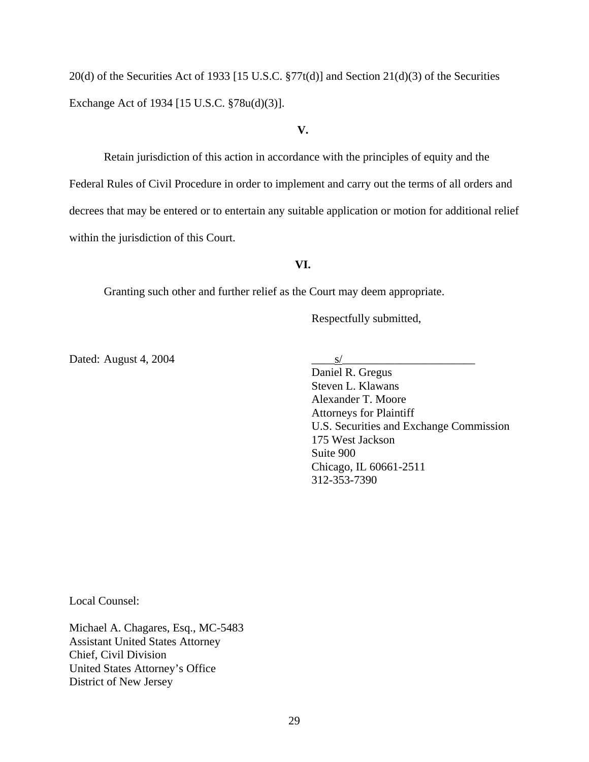20(d) of the Securities Act of 1933 [15 U.S.C. §77t(d)] and Section 21(d)(3) of the Securities Exchange Act of 1934 [15 U.S.C. §78u(d)(3)].

#### **V.**

Retain jurisdiction of this action in accordance with the principles of equity and the Federal Rules of Civil Procedure in order to implement and carry out the terms of all orders and decrees that may be entered or to entertain any suitable application or motion for additional relief within the jurisdiction of this Court.

## **VI.**

Granting such other and further relief as the Court may deem appropriate.

Respectfully submitted,

Dated: August 4, 2004  $\frac{S}{\sqrt{S}}$ 

 Daniel R. Gregus Steven L. Klawans Alexander T. Moore Attorneys for Plaintiff U.S. Securities and Exchange Commission 175 West Jackson Suite 900 Chicago, IL 60661-2511 312-353-7390

Local Counsel:

Michael A. Chagares, Esq., MC-5483 Assistant United States Attorney Chief, Civil Division United States Attorney's Office District of New Jersey